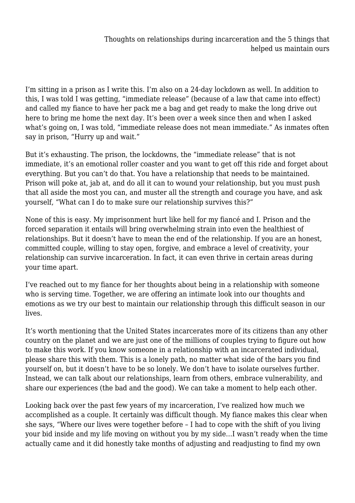I'm sitting in a prison as I write this. I'm also on a 24-day lockdown as well. In addition to this, I was told I was getting, "immediate release" (because of a law that came into effect) and called my fiance to have her pack me a bag and get ready to make the long drive out here to bring me home the next day. It's been over a week since then and when I asked what's going on, I was told, "immediate release does not mean immediate." As inmates often say in prison, "Hurry up and wait."

But it's exhausting. The prison, the lockdowns, the "immediate release" that is not immediate, it's an emotional roller coaster and you want to get off this ride and forget about everything. But you can't do that. You have a relationship that needs to be maintained. Prison will poke at, jab at, and do all it can to wound your relationship, but you must push that all aside the most you can, and muster all the strength and courage you have, and ask yourself, "What can I do to make sure our relationship survives this?"

None of this is easy. My imprisonment hurt like hell for my fiancé and I. Prison and the forced separation it entails will bring overwhelming strain into even the healthiest of relationships. But it doesn't have to mean the end of the relationship. If you are an honest, committed couple, willing to stay open, forgive, and embrace a level of creativity, your relationship can survive incarceration. In fact, it can even thrive in certain areas during your time apart.

I've reached out to my fiance for her thoughts about being in a relationship with someone who is serving time. Together, we are offering an intimate look into our thoughts and emotions as we try our best to maintain our relationship through this difficult season in our lives.

It's worth mentioning that the United States incarcerates more of its citizens than any other country on the planet and we are just one of the millions of couples trying to figure out how to make this work. If you know someone in a relationship with an incarcerated individual, please share this with them. This is a lonely path, no matter what side of the bars you find yourself on, but it doesn't have to be so lonely. We don't have to isolate ourselves further. Instead, we can talk about our relationships, learn from others, embrace vulnerability, and share our experiences (the bad and the good). We can take a moment to help each other.

Looking back over the past few years of my incarceration, I've realized how much we accomplished as a couple. It certainly was difficult though. My fiance makes this clear when she says, "Where our lives were together before – I had to cope with the shift of you living your bid inside and my life moving on without you by my side…I wasn't ready when the time actually came and it did honestly take months of adjusting and readjusting to find my own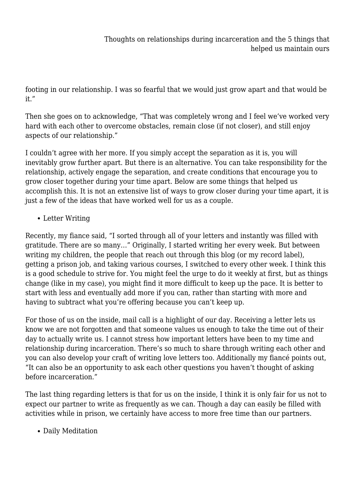footing in our relationship. I was so fearful that we would just grow apart and that would be it."

Then she goes on to acknowledge, "That was completely wrong and I feel we've worked very hard with each other to overcome obstacles, remain close (if not closer), and still enjoy aspects of our relationship."

I couldn't agree with her more. If you simply accept the separation as it is, you will inevitably grow further apart. But there is an alternative. You can take responsibility for the relationship, actively engage the separation, and create conditions that encourage you to grow closer together during your time apart. Below are some things that helped us accomplish this. It is not an extensive list of ways to grow closer during your time apart, it is just a few of the ideas that have worked well for us as a couple.

• Letter Writing

Recently, my fiance said, "I sorted through all of your letters and instantly was filled with gratitude. There are so many…" Originally, I started writing her every week. But between writing my children, the people that reach out through this blog (or my record label), getting a prison job, and taking various courses, I switched to every other week. I think this is a good schedule to strive for. You might feel the urge to do it weekly at first, but as things change (like in my case), you might find it more difficult to keep up the pace. It is better to start with less and eventually add more if you can, rather than starting with more and having to subtract what you're offering because you can't keep up.

For those of us on the inside, mail call is a highlight of our day. Receiving a letter lets us know we are not forgotten and that someone values us enough to take the time out of their day to actually write us. I cannot stress how important letters have been to my time and relationship during incarceration. There's so much to share through writing each other and you can also develop your craft of writing love letters too. Additionally my fiancé points out, "It can also be an opportunity to ask each other questions you haven't thought of asking before incarceration."

The last thing regarding letters is that for us on the inside, I think it is only fair for us not to expect our partner to write as frequently as we can. Though a day can easily be filled with activities while in prison, we certainly have access to more free time than our partners.

• Daily Meditation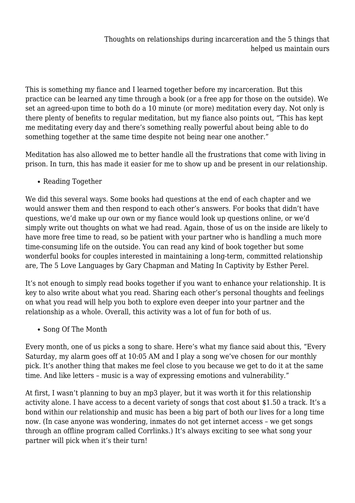This is something my fiance and I learned together before my incarceration. But this practice can be learned any time through a book (or a free app for those on the outside). We set an agreed-upon time to both do a 10 minute (or more) meditation every day. Not only is there plenty of benefits to regular meditation, but my fiance also points out, "This has kept me meditating every day and there's something really powerful about being able to do something together at the same time despite not being near one another."

Meditation has also allowed me to better handle all the frustrations that come with living in prison. In turn, this has made it easier for me to show up and be present in our relationship.

• Reading Together

We did this several ways. Some books had questions at the end of each chapter and we would answer them and then respond to each other's answers. For books that didn't have questions, we'd make up our own or my fiance would look up questions online, or we'd simply write out thoughts on what we had read. Again, those of us on the inside are likely to have more free time to read, so be patient with your partner who is handling a much more time-consuming life on the outside. You can read any kind of book together but some wonderful books for couples interested in maintaining a long-term, committed relationship are, The 5 Love Languages by Gary Chapman and Mating In Captivity by Esther Perel.

It's not enough to simply read books together if you want to enhance your relationship. It is key to also write about what you read. Sharing each other's personal thoughts and feelings on what you read will help you both to explore even deeper into your partner and the relationship as a whole. Overall, this activity was a lot of fun for both of us.

• Song Of The Month

Every month, one of us picks a song to share. Here's what my fiance said about this, "Every Saturday, my alarm goes off at 10:05 AM and I play a song we've chosen for our monthly pick. It's another thing that makes me feel close to you because we get to do it at the same time. And like letters – music is a way of expressing emotions and vulnerability."

At first, I wasn't planning to buy an mp3 player, but it was worth it for this relationship activity alone. I have access to a decent variety of songs that cost about \$1.50 a track. It's a bond within our relationship and music has been a big part of both our lives for a long time now. (In case anyone was wondering, inmates do not get internet access – we get songs through an offline program called Corrlinks.) It's always exciting to see what song your partner will pick when it's their turn!